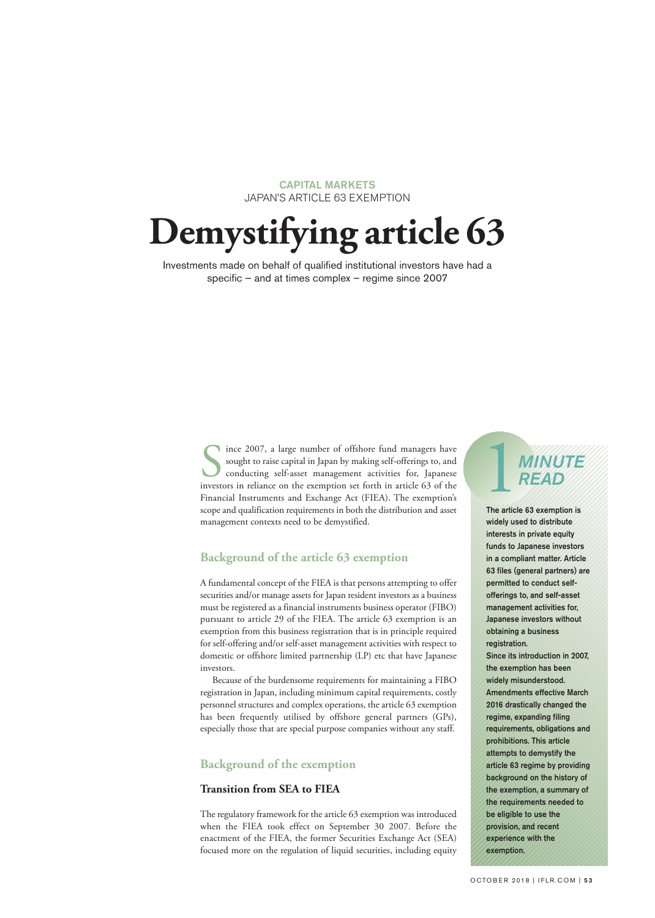# CAPITAL MARKETS JAPAN'S ARTICLE 63 EXEMPTION

# **Demystifying article 63**

Investments made on behalf of qualified institutional investors have had a specific – and at times complex – regime since 2007

> Since 2007, a large number of offshore fund managers have<br>sought to raise capital in Japan by making self-offerings to, and<br>conducting self-asset management activities for, Japanese<br>investors in reliance on the exemption s sought to raise capital in Japan by making self-offerings to, and conducting self-asset management activities for, Japanese investors in reliance on the exemption set forth in article 63 of the Financial Instruments and Exchange Act (FIEA). The exemption's scope and qualification requirements in both the distribution and asset management contexts need to be demystified.

# **Background of the article 63 exemption**

A fundamental concept of the FIEA is that persons attempting to offer securities and/or manage assets for Japan resident investors as a business must be registered as a financial instruments business operator (FIBO) pursuant to article 29 of the FIEA. The article 63 exemption is an exemption from this business registration that is in principle required for self-offering and/or self-asset management activities with respect to domestic or offshore limited partnership (LP) etc that have Japanese investors.

Because of the burdensome requirements for maintaining a FIBO registration in Japan, including minimum capital requirements, costly personnel structures and complex operations, the article 63 exemption has been frequently utilised by offshore general partners (GPs), especially those that are special purpose companies without any staff.

# **Background of the exemption**

# **Transition from SEA to FIEA**

The regulatory framework for the article 63 exemption was introduced when the FIEA took effect on September 30 2007. Before the enactment of the FIEA, the former Securities Exchange Act (SEA) focused more on the regulation of liquid securities, including equity

# 1*MINUTE READ*

The article 63 exemption is widely used to distribute interests in private equity funds to Japanese investors in a compliant matter. Article 63 files (general partners) are permitted to conduct selfofferings to, and self-asset management activities for Japanese investors without obtaining a business registration. Since its introduction in 2007, the exemption has been widely misunderstood. Amendments effective March 2016 drastically changed the regime, expanding filing requirements, obligations and prohibitions. This article attempts to demystify the article 63 regime by providing background on the history of the exemption, a summary of the requirements needed to be eligible to use the provision, and recent experience with the exemption.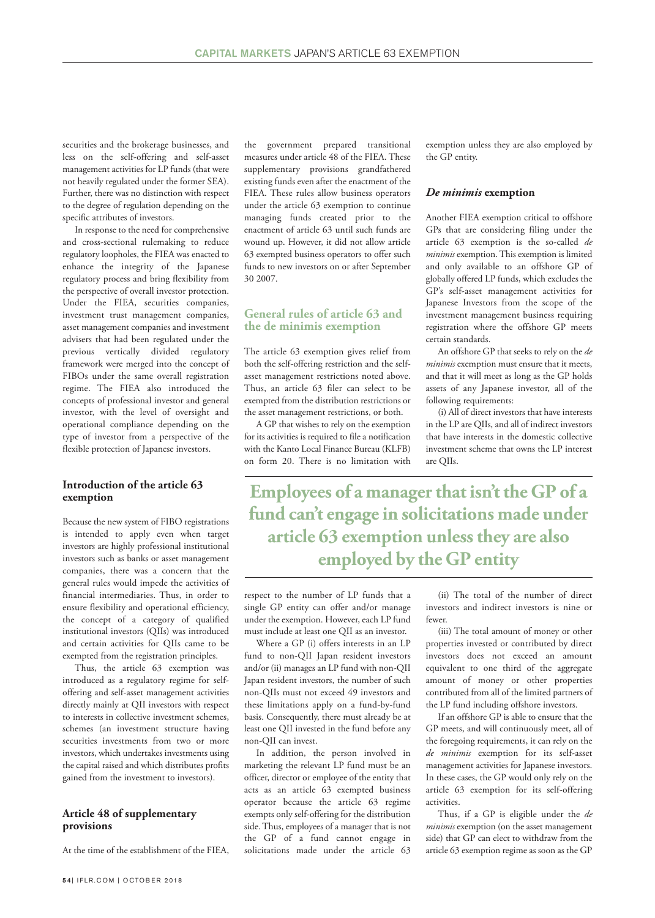securities and the brokerage businesses, and less on the self-offering and self-asset management activities for LP funds (that were not heavily regulated under the former SEA). Further, there was no distinction with respect to the degree of regulation depending on the specific attributes of investors.

In response to the need for comprehensive and cross-sectional rulemaking to reduce regulatory loopholes, the FIEA was enacted to enhance the integrity of the Japanese regulatory process and bring flexibility from the perspective of overall investor protection. Under the FIEA, securities companies, investment trust management companies, asset management companies and investment advisers that had been regulated under the previous vertically divided regulatory framework were merged into the concept of FIBOs under the same overall registration regime. The FIEA also introduced the concepts of professional investor and general investor, with the level of oversight and operational compliance depending on the type of investor from a perspective of the flexible protection of Japanese investors.

# **Introduction of the article 63 exemption**

Because the new system of FIBO registrations is intended to apply even when target investors are highly professional institutional investors such as banks or asset management companies, there was a concern that the general rules would impede the activities of financial intermediaries. Thus, in order to ensure flexibility and operational efficiency, the concept of a category of qualified institutional investors (QIIs) was introduced and certain activities for QIIs came to be exempted from the registration principles.

Thus, the article 63 exemption was introduced as a regulatory regime for selfoffering and self-asset management activities directly mainly at QII investors with respect to interests in collective investment schemes, schemes (an investment structure having securities investments from two or more investors, which undertakes investments using the capital raised and which distributes profits gained from the investment to investors).

# **Article 48 of supplementary provisions**

At the time of the establishment of the FIEA,

the government prepared transitional measures under article 48 of the FIEA. These supplementary provisions grandfathered existing funds even after the enactment of the FIEA. These rules allow business operators under the article 63 exemption to continue managing funds created prior to the enactment of article 63 until such funds are wound up. However, it did not allow article 63 exempted business operators to offer such funds to new investors on or after September 30 2007.

# **General rules of article 63 and the de minimis exemption**

The article 63 exemption gives relief from both the self-offering restriction and the selfasset management restrictions noted above. Thus, an article 63 filer can select to be exempted from the distribution restrictions or the asset management restrictions, or both.

A GP that wishes to rely on the exemption for its activities is required to file a notification with the Kanto Local Finance Bureau (KLFB) on form 20. There is no limitation with exemption unless they are also employed by the GP entity.

#### *De minimis* **exemption**

Another FIEA exemption critical to offshore GPs that are considering filing under the article 63 exemption is the so-called *de minimis* exemption.This exemption is limited and only available to an offshore GP of globally offered LP funds, which excludes the GP's self-asset management activities for Japanese Investors from the scope of the investment management business requiring registration where the offshore GP meets certain standards.

An offshore GP that seeks to rely on the *de minimis* exemption must ensure that it meets, and that it will meet as long as the GP holds assets of any Japanese investor, all of the following requirements:

(i) All of direct investors that have interests in the LP are QIIs, and all of indirect investors that have interests in the domestic collective investment scheme that owns the LP interest are QIIs.

**Employees of a managerthat isn't the GP of a fund can't engage in solicitations made under article 63 exemption unlessthey are also employed by the GP entity**

respect to the number of LP funds that a single GP entity can offer and/or manage under the exemption. However, each LP fund must include at least one QII as an investor.

Where a GP (i) offers interests in an LP fund to non-QII Japan resident investors and/or (ii) manages an LP fund with non-QII Japan resident investors, the number of such non-QIIs must not exceed 49 investors and these limitations apply on a fund-by-fund basis. Consequently, there must already be at least one QII invested in the fund before any non-QII can invest.

In addition, the person involved in marketing the relevant LP fund must be an officer, director or employee of the entity that acts as an article 63 exempted business operator because the article 63 regime exempts only self-offering for the distribution side.Thus, employees of a manager that is not the GP of a fund cannot engage in solicitations made under the article 63

(ii) The total of the number of direct investors and indirect investors is nine or fewer.

(iii) The total amount of money or other properties invested or contributed by direct investors does not exceed an amount equivalent to one third of the aggregate amount of money or other properties contributed from all of the limited partners of the LP fund including offshore investors.

If an offshore GP is able to ensure that the GP meets, and will continuously meet, all of the foregoing requirements, it can rely on the *de minimis* exemption for its self-asset management activities for Japanese investors. In these cases, the GP would only rely on the article 63 exemption for its self-offering activities.

Thus, if a GP is eligible under the *de minimis* exemption (on the asset management side) that GP can elect to withdraw from the article 63 exemption regime as soon as the GP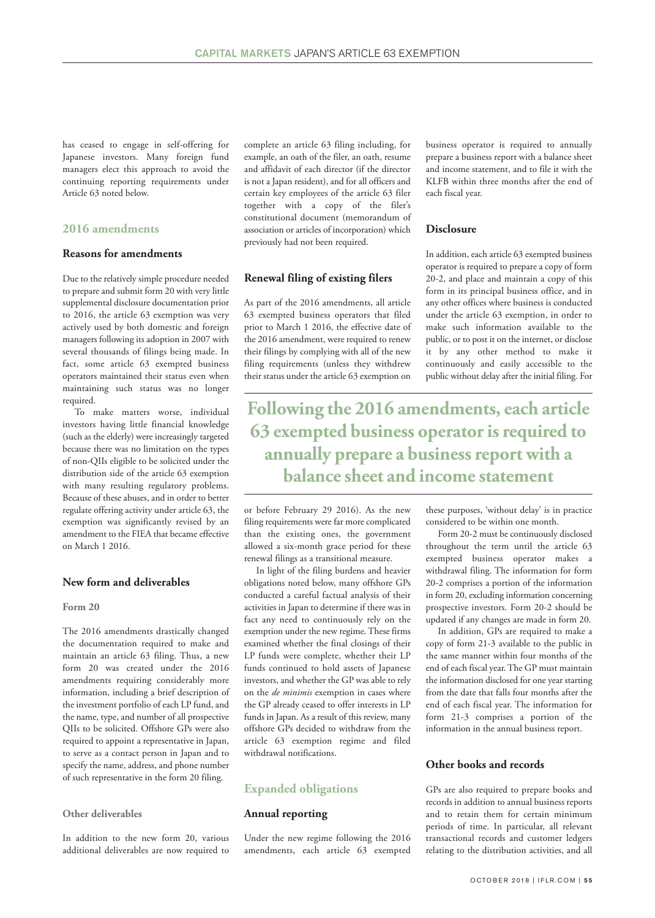has ceased to engage in self-offering for Japanese investors. Many foreign fund managers elect this approach to avoid the continuing reporting requirements under Article 63 noted below.

# **2016 amendments**

# **Reasons for amendments**

Due to the relatively simple procedure needed to prepare and submit form 20 with very little supplemental disclosure documentation prior to 2016, the article 63 exemption was very actively used by both domestic and foreign managers following its adoption in 2007 with several thousands of filings being made. In fact, some article 63 exempted business operators maintained their status even when maintaining such status was no longer required.

To make matters worse, individual investors having little financial knowledge (such as the elderly) were increasingly targeted because there was no limitation on the types of non-QIIs eligible to be solicited under the distribution side of the article 63 exemption with many resulting regulatory problems. Because of these abuses, and in order to better regulate offering activity under article 63, the exemption was significantly revised by an amendment to the FIEA that became effective on March 1 2016.

# **New form and deliverables**

#### **Form 20**

The 2016 amendments drastically changed the documentation required to make and maintain an article 63 filing. Thus, a new form 20 was created under the 2016 amendments requiring considerably more information, including a brief description of the investment portfolio of each LP fund, and the name, type, and number of all prospective QIIs to be solicited. Offshore GPs were also required to appoint a representative in Japan, to serve as a contact person in Japan and to specify the name, address, and phone number of such representative in the form 20 filing.

#### **Other deliverables**

In addition to the new form 20, various additional deliverables are now required to

complete an article 63 filing including, for example, an oath of the filer, an oath, resume and affidavit of each director (if the director is not a Japan resident), and for all officers and certain key employees of the article 63 filer together with a copy of the filer's constitutional document (memorandum of association or articles of incorporation) which previously had not been required.

#### **Renewal filing of existing filers**

As part of the 2016 amendments, all article 63 exempted business operators that filed prior to March 1 2016, the effective date of the 2016 amendment, were required to renew their filings by complying with all of the new filing requirements (unless they withdrew their status under the article 63 exemption on

business operator is required to annually prepare a business report with a balance sheet and income statement, and to file it with the KLFB within three months after the end of each fiscal year.

# **Disclosure**

In addition, each article 63 exempted business operator is required to prepare a copy of form 20-2, and place and maintain a copy of this form in its principal business office, and in any other offices where business is conducted under the article 63 exemption, in order to make such information available to the public, or to post it on the internet, or disclose it by any other method to make it continuously and easily accessible to the public without delay after the initial filing. For

**Following the 2016 amendments, each article 63 exempted business operator** is required to **annually prepare a businessreportwith a balance sheet and income statement**

or before February 29 2016). As the new filing requirements were far more complicated than the existing ones, the government allowed a six-month grace period for these renewal filings as a transitional measure.

In light of the filing burdens and heavier obligations noted below, many offshore GPs conducted a careful factual analysis of their activities in Japan to determine if there was in fact any need to continuously rely on the exemption under the new regime.These firms examined whether the final closings of their LP funds were complete, whether their LP funds continued to hold assets of Japanese investors, and whether the GP was able to rely on the *de minimis* exemption in cases where the GP already ceased to offer interests in LP funds in Japan. As a result of this review, many offshore GPs decided to withdraw from the article 63 exemption regime and filed withdrawal notifications.

# **Expanded obligations**

#### **Annual reporting**

Under the new regime following the 2016 amendments, each article 63 exempted these purposes, 'without delay' is in practice considered to be within one month.

Form 20-2 must be continuously disclosed throughout the term until the article 63 exempted business operator makes a withdrawal filing. The information for form 20-2 comprises a portion of the information in form 20, excluding information concerning prospective investors. Form 20-2 should be updated if any changes are made in form 20.

In addition, GPs are required to make a copy of form 21-3 available to the public in the same manner within four months of the end of each fiscal year.The GP must maintain the information disclosed for one year starting from the date that falls four months after the end of each fiscal year. The information for form 21-3 comprises a portion of the information in the annual business report.

# **Other books and records**

GPs are also required to prepare books and records in addition to annual business reports and to retain them for certain minimum periods of time. In particular, all relevant transactional records and customer ledgers relating to the distribution activities, and all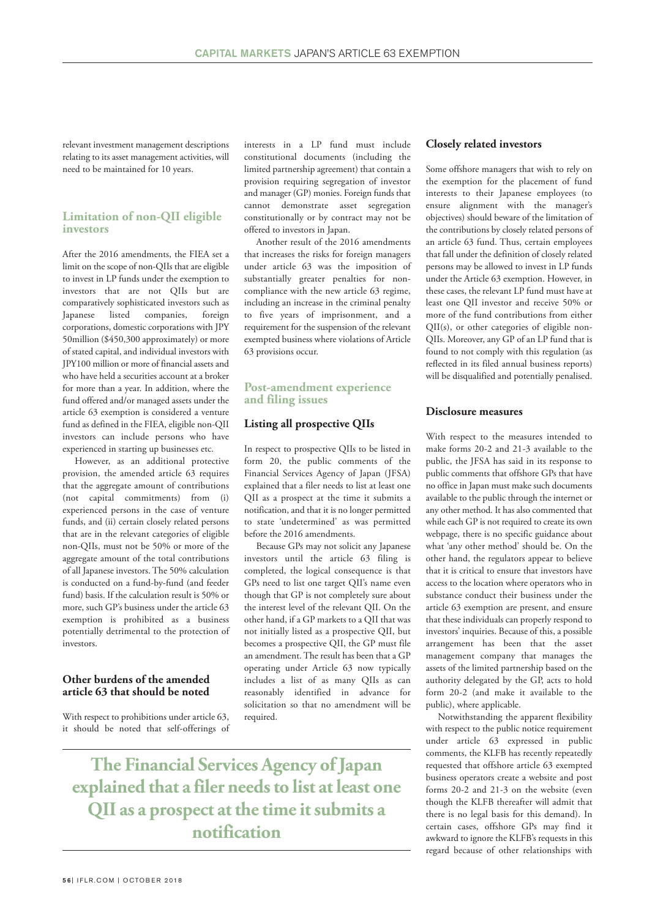relevant investment management descriptions relating to its asset management activities, will need to be maintained for 10 years.

# **Limitation of non-QII eligible investors**

After the 2016 amendments, the FIEA set a limit on the scope of non-QIIs that are eligible to invest in LP funds under the exemption to investors that are not QIIs but are comparatively sophisticated investors such as Japanese listed companies, foreign corporations, domestic corporations with JPY 50million (\$450,300 approximately) or more of stated capital, and individual investors with JPY100 million or more of financial assets and who have held a securities account at a broker for more than a year. In addition, where the fund offered and/or managed assets under the article 63 exemption is considered a venture fund as defined in the FIEA, eligible non-QII investors can include persons who have experienced in starting up businesses etc.

However, as an additional protective provision, the amended article 63 requires that the aggregate amount of contributions (not capital commitments) from (i) experienced persons in the case of venture funds, and (ii) certain closely related persons that are in the relevant categories of eligible non-QIIs, must not be 50% or more of the aggregate amount of the total contributions of all Japanese investors. The 50% calculation is conducted on a fund-by-fund (and feeder fund) basis. If the calculation result is 50% or more, such GP's business under the article 63 exemption is prohibited as a business potentially detrimental to the protection of investors.

# **Other burdens of the amended article 63 that should be noted**

With respect to prohibitions under article 63, it should be noted that self-offerings of interests in a LP fund must include constitutional documents (including the limited partnership agreement) that contain a provision requiring segregation of investor and manager (GP) monies. Foreign funds that cannot demonstrate asset segregation constitutionally or by contract may not be offered to investors in Japan.

Another result of the 2016 amendments that increases the risks for foreign managers under article 63 was the imposition of substantially greater penalties for noncompliance with the new article 63 regime, including an increase in the criminal penalty to five years of imprisonment, and a requirement for the suspension of the relevant exempted business where violations of Article 63 provisions occur.

# **Post-amendment experience and filing issues**

# **Listing all prospective QIIs**

In respect to prospective QIIs to be listed in form 20, the public comments of the Financial Services Agency of Japan (JFSA) explained that a filer needs to list at least one QII as a prospect at the time it submits a notification, and that it is no longer permitted to state 'undetermined' as was permitted before the 2016 amendments.

Because GPs may not solicit any Japanese investors until the article 63 filing is completed, the logical consequence is that GPs need to list one target QII's name even though that GP is not completely sure about the interest level of the relevant QII. On the other hand, if a GP markets to a QII that was not initially listed as a prospective QII, but becomes a prospective QII, the GP must file an amendment.The result has been that a GP operating under Article 63 now typically includes a list of as many QIIs as can reasonably identified in advance for solicitation so that no amendment will be required.

**The Financial Services Agency ofJapan explained that a filer needsto list atleast one QII as a prospect atthe time itsubmits a notification**

# **Closely related investors**

Some offshore managers that wish to rely on the exemption for the placement of fund interests to their Japanese employees (to ensure alignment with the manager's objectives) should beware of the limitation of the contributions by closely related persons of an article 63 fund. Thus, certain employees that fall under the definition of closely related persons may be allowed to invest in LP funds under the Article 63 exemption. However, in these cases, the relevant LP fund must have at least one QII investor and receive 50% or more of the fund contributions from either QII(s), or other categories of eligible non-QIIs. Moreover, any GP of an LP fund that is found to not comply with this regulation (as reflected in its filed annual business reports) will be disqualified and potentially penalised.

#### **Disclosure measures**

With respect to the measures intended to make forms 20-2 and 21-3 available to the public, the JFSA has said in its response to public comments that offshore GPs that have no office in Japan must make such documents available to the public through the internet or any other method. It has also commented that while each GP is not required to create its own webpage, there is no specific guidance about what 'any other method' should be. On the other hand, the regulators appear to believe that it is critical to ensure that investors have access to the location where operators who in substance conduct their business under the article 63 exemption are present, and ensure that these individuals can properly respond to investors' inquiries. Because of this, a possible arrangement has been that the asset management company that manages the assets of the limited partnership based on the authority delegated by the GP, acts to hold form 20-2 (and make it available to the public), where applicable.

Notwithstanding the apparent flexibility with respect to the public notice requirement under article 63 expressed in public comments, the KLFB has recently repeatedly requested that offshore article 63 exempted business operators create a website and post forms 20-2 and 21-3 on the website (even though the KLFB thereafter will admit that there is no legal basis for this demand). In certain cases, offshore GPs may find it awkward to ignore the KLFB's requests in this regard because of other relationships with